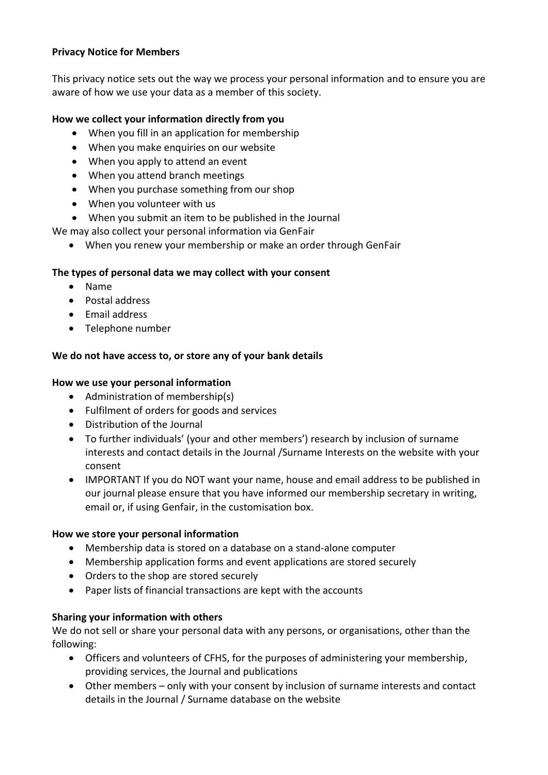## **Privacy Notice for Members**

This privacy notice sets out the way we process your personal information and to ensure you are aware of how we use your data as a member of this society.

## **How we collect your information directly from you**

- When you fill in an application for membership
- When you make enquiries on our website
- When you apply to attend an event
- When you attend branch meetings
- When you purchase something from our shop
- When you volunteer with us
- When you submit an item to be published in the Journal

We may also collect your personal information via GenFair

• When you renew your membership or make an order through GenFair

## **The types of personal data we may collect with your consent**

- Name
- Postal address
- Email address
- Telephone number

## **We do not have access to, or store any of your bank details**

#### **How we use your personal information**

- Administration of membership(s)
- Fulfilment of orders for goods and services
- Distribution of the Journal
- To further individuals' (your and other members') research by inclusion of surname interests and contact details in the Journal /Surname Interests on the website with your consent
- IMPORTANT If you do NOT want your name, house and email address to be published in our journal please ensure that you have informed our membership secretary in writing, email or, if using Genfair, in the customisation box.

## **How we store your personal information**

- Membership data is stored on a database on a stand-alone computer
- Membership application forms and event applications are stored securely
- Orders to the shop are stored securely
- Paper lists of financial transactions are kept with the accounts

## **Sharing your information with others**

We do not sell or share your personal data with any persons, or organisations, other than the following:

- Officers and volunteers of CFHS, for the purposes of administering your membership, providing services, the Journal and publications
- Other members only with your consent by inclusion of surname interests and contact details in the Journal / Surname database on the website